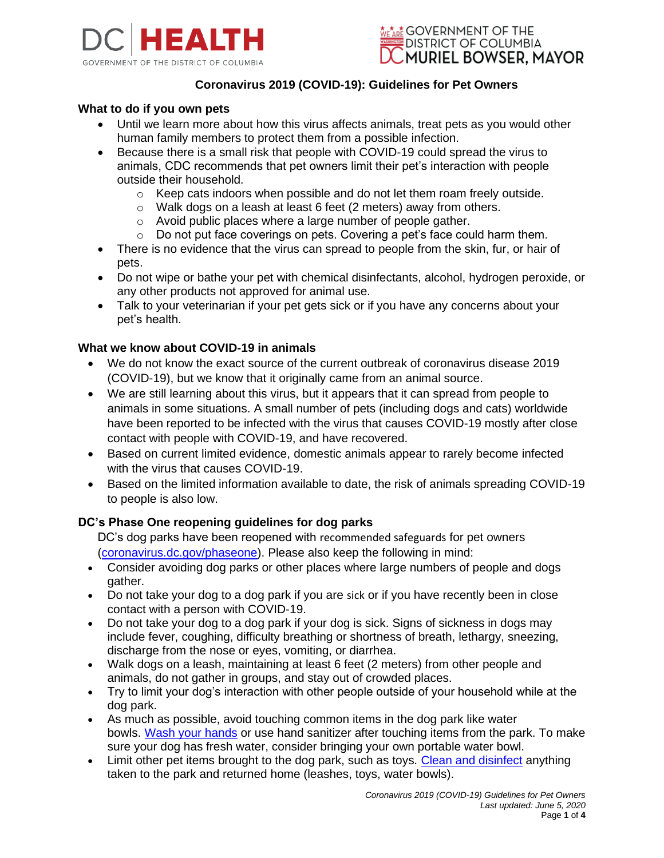



# **Coronavirus 2019 (COVID-19): Guidelines for Pet Owners**

### **What to do if you own pets**

- Until we learn more about how this virus affects animals, treat pets as you would other human family members to protect them from a possible infection.
- Because there is a small risk that people with COVID-19 could spread the virus to animals, CDC recommends that pet owners limit their pet's interaction with people outside their household.
	- $\circ$  Keep cats indoors when possible and do not let them roam freely outside.
	- o Walk dogs on a leash at least 6 feet (2 meters) away from others.
	- o Avoid public places where a large number of people gather.
	- $\circ$  Do not put face coverings on pets. Covering a pet's face could harm them.
- There is no evidence that the virus can spread to people from the skin, fur, or hair of pets.
- Do not wipe or bathe your pet with chemical disinfectants, alcohol, hydrogen peroxide, or any other products not approved for animal use.
- Talk to your veterinarian if your pet gets sick or if you have any concerns about your pet's health.

## **What we know about COVID-19 in animals**

- We do not know the exact source of the current outbreak of coronavirus disease 2019 (COVID-19), but we know that it originally came from an animal source.
- We are still learning about this virus, but it appears that it can spread from people to animals in some situations. A small number of pets (including dogs and cats) worldwide have been reported to be infected with the virus that causes COVID-19 mostly after close contact with people with COVID-19, and have recovered.
- Based on current limited evidence, domestic animals appear to rarely become infected with the virus that causes COVID-19.
- Based on the limited information available to date, the risk of animals spreading COVID-19 to people is also low.

#### **DC's Phase One reopening guidelines for dog parks**

DC's dog parks have been reopened with recommended safeguards for pet owners [\(coronavirus.dc.gov/phaseone\)](https://coronavirus.dc.gov/phaseone). Please also keep the following in mind:

- Consider avoiding dog parks or other places where large numbers of people and dogs gather.
- Do not take your dog to a dog park if you are sick or if you have recently been in close contact with a person with COVID-19.
- Do not take your dog to a dog park if your dog is sick. Signs of sickness in dogs may include fever, coughing, difficulty breathing or shortness of breath, lethargy, sneezing, discharge from the nose or eyes, vomiting, or diarrhea.
- Walk dogs on a leash, maintaining at least 6 feet (2 meters) from other people and animals, do not gather in groups, and stay out of crowded places.
- Try to limit your dog's interaction with other people outside of your household while at the dog park.
- As much as possible, avoid touching common items in the dog park like water bowls. [Wash your hands](https://www.cdc.gov/handwashing/when-how-handwashing.html) or use hand sanitizer after touching items from the park. To make sure your dog has fresh water, consider bringing your own portable water bowl.
- Limit other pet items brought to the dog park, such as toys. [Clean and disinfect](https://www.cdc.gov/coronavirus/2019-ncov/prevent-getting-sick/disinfecting-your-home.html) anything taken to the park and returned home (leashes, toys, water bowls).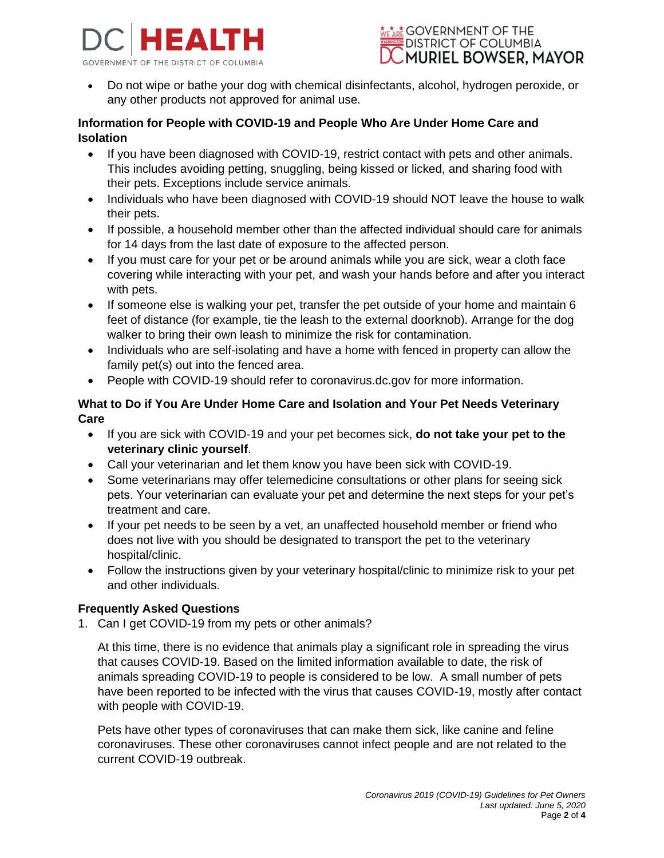



• Do not wipe or bathe your dog with chemical disinfectants, alcohol, hydrogen peroxide, or any other products not approved for animal use.

## **Information for People with COVID-19 and People Who Are Under Home Care and Isolation**

- If you have been diagnosed with COVID-19, restrict contact with pets and other animals. This includes avoiding petting, snuggling, being kissed or licked, and sharing food with their pets. Exceptions include service animals.
- Individuals who have been diagnosed with COVID-19 should NOT leave the house to walk their pets.
- If possible, a household member other than the affected individual should care for animals for 14 days from the last date of exposure to the affected person.
- If you must care for your pet or be around animals while you are sick, wear a cloth face covering while interacting with your pet, and wash your hands before and after you interact with pets.
- If someone else is walking your pet, transfer the pet outside of your home and maintain 6 feet of distance (for example, tie the leash to the external doorknob). Arrange for the dog walker to bring their own leash to minimize the risk for contamination.
- Individuals who are self-isolating and have a home with fenced in property can allow the family pet(s) out into the fenced area.
- People with COVID-19 should refer to coronavirus.dc.gov for more information.

# **What to Do if You Are Under Home Care and Isolation and Your Pet Needs Veterinary Care**

- If you are sick with COVID-19 and your pet becomes sick, **do not take your pet to the veterinary clinic yourself**.
- Call your veterinarian and let them know you have been sick with COVID-19.
- Some veterinarians may offer telemedicine consultations or other plans for seeing sick pets. Your veterinarian can evaluate your pet and determine the next steps for your pet's treatment and care.
- If your pet needs to be seen by a vet, an unaffected household member or friend who does not live with you should be designated to transport the pet to the veterinary hospital/clinic.
- Follow the instructions given by your veterinary hospital/clinic to minimize risk to your pet and other individuals.

# **Frequently Asked Questions**

1. Can I get COVID-19 from my pets or other animals?

At this time, there is no evidence that animals play a significant role in spreading the virus that causes COVID-19. Based on the limited information available to date, the risk of animals spreading COVID-19 to people is considered to be low. A small number of pets have been reported to be infected with the virus that causes COVID-19, mostly after contact with people with COVID-19.

Pets have other types of coronaviruses that can make them sick, like canine and feline coronaviruses. These other coronaviruses cannot infect people and are not related to the current COVID-19 outbreak.